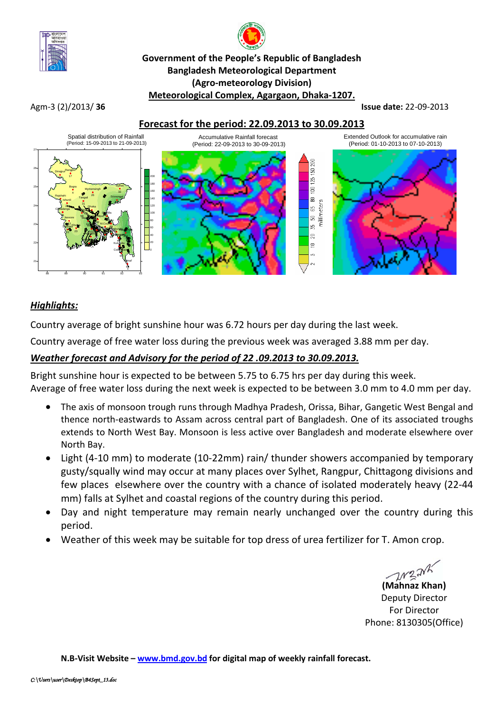

# **Government of the People's Republic of Bangladesh Bangladesh Meteorological Department (Agro-meteorology Division) Meteorological Complex, Agargaon, Dhaka-1207.**

Agm-3 (2)/2013/ **36 Issue date:** 22-09-2013





## *Highlights:*

Country average of bright sunshine hour was 6.72 hours per day during the last week.

Country average of free water loss during the previous week was averaged 3.88 mm per day.

# *Weather forecast and Advisory for the period of 22 .09.2013 to 30.09.2013.*

Bright sunshine hour is expected to be between 5.75 to 6.75 hrs per day during this week. Average of free water loss during the next week is expected to be between 3.0 mm to 4.0 mm per day.

- The axis of monsoon trough runs through Madhya Pradesh, Orissa, Bihar, Gangetic West Bengal and thence north-eastwards to Assam across central part of Bangladesh. One of its associated troughs extends to North West Bay. Monsoon is less active over Bangladesh and moderate elsewhere over North Bay.
- Light (4-10 mm) to moderate (10-22mm) rain/ thunder showers accompanied by temporary gusty/squally wind may occur at many places over Sylhet, Rangpur, Chittagong divisions and few places elsewhere over the country with a chance of isolated moderately heavy (22-44 mm) falls at Sylhet and coastal regions of the country during this period.
- Day and night temperature may remain nearly unchanged over the country during this period.
- Weather of this week may be suitable for top dress of urea fertilizer for T. Amon crop.

**(Mahnaz Khan)**

Deputy Director For Director Phone: 8130305(Office)

**N.B-Visit Website – [www.bmd.gov.bd](http://www.bmd.gov.bd/) for digital map of weekly rainfall forecast.**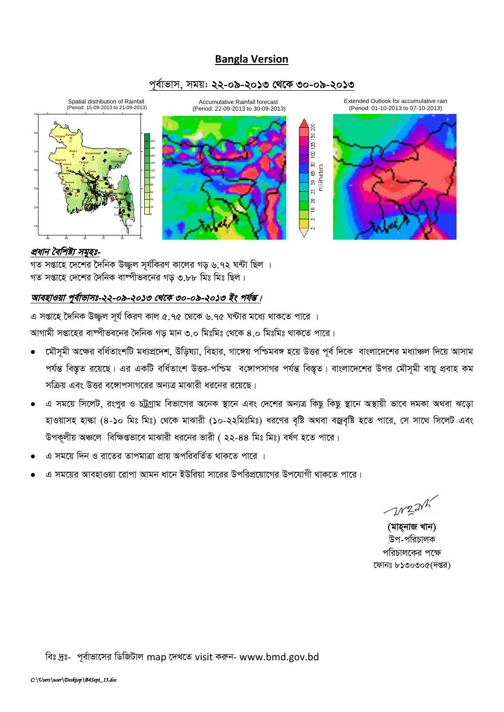# **Bangla Version**

#### পূর্বাভাস, সময়: ২২-০৯-২০১৩ থেকে ৩০-০৯-২০১৩



#### প্রধান বৈশিষ্ট্য সমূহঃ-

গত সপ্তাহে দেশের দৈনিক উজ্জল সর্যকিরণ কালের গড় ৬.৭২ ঘন্টা ছিল । গত সপ্তাহে দেশের দৈনিক বাম্পীভবনের গড় ৩.৮৮ মিঃ মিঃ ছিল।

### আবহাওয়া পূর্বাভাসঃ-২২-০৯-২০১৩ থেকে ৩০-০৯-২০১৩ ইং পর্যন্ত।

এ সপ্তাহে দৈনিক উজ্জল সূর্য কিরণ কাল ৫.৭৫ থেকে ৬.৭৫ ঘন্টার মধ্যে থাকতে পারে ।

আগামী সপ্তাহের বাষ্পীভবনের দৈনিক গড় মান ৩.০ মিঃমিঃ থেকে ৪.০ মিঃমিঃ থাকতে পারে।

- মৌসূমী অক্ষের বর্ধিতাংশটি মধ্যপ্রদেশ, উড়িষ্যা, বিহার, গাঙ্গেয় পশ্চিমবঙ্গ হয়ে উত্তর পূর্ব দিকে বাংলাদেশের মধ্যাঞ্চল দিয়ে আসাম পর্যন্ত বিস্তৃত রয়েছে। এর একটি বর্ধিতাংশ উত্তর-পশ্চিম বঙ্গোপসাগর পর্যন্ত বিস্তৃত। বাংলাদেশের উপর মৌসমী বায়ু প্রবাহ কম সক্রিয় এবং উত্তর বঙ্গোপসাগরের অন্যত্র মাঝারী ধরনের রয়েছে।
- এ সময়ে সিলেট, রংপুর ও চট্টগ্রাম বিভাগের অনেক স্থানে এবং দেশের অন্যত্র কিছু কিছু স্থানে অস্থায়ী ভাবে দমকা অথবা ঝড়ো হাওয়াসহ হাল্কা (৪-১০ মিঃ মিঃ) থেকে মাঝারী (১০-২২মিঃমিঃ) ধরণের বৃষ্টি অথবা বজ্রবৃষ্টি হতে পারে, সে সাথে সিলেট এবং উপকূলীয় অঞ্চলে বিক্ষিগুভাবে মাঝারী ধরনের ভারী ( ২২-৪৪ মিঃ মিঃ) বর্ষণ হতে পারে।
- এ সময়ে দিন ও রাতের তাপমাত্রা প্রায় অপরিবর্তিত থাকতে পারে ।
- এ সময়ের আবহাওয়া রোপা আমন ধানে ইউরিয়া সারের উপরিপ্রয়োগের উপযোগী থাকতে পারে।

M2NK

(মাহনাজ খান) উপ-পরিচালক পরিচালকের পক্ষে ফোনঃ ৮১৩০৩০৫(দপ্তর)

বিঃ দ্রঃ- পূর্বাভাসের ডিজিটাল map দেখতে visit করুন- www.bmd.gov.bd